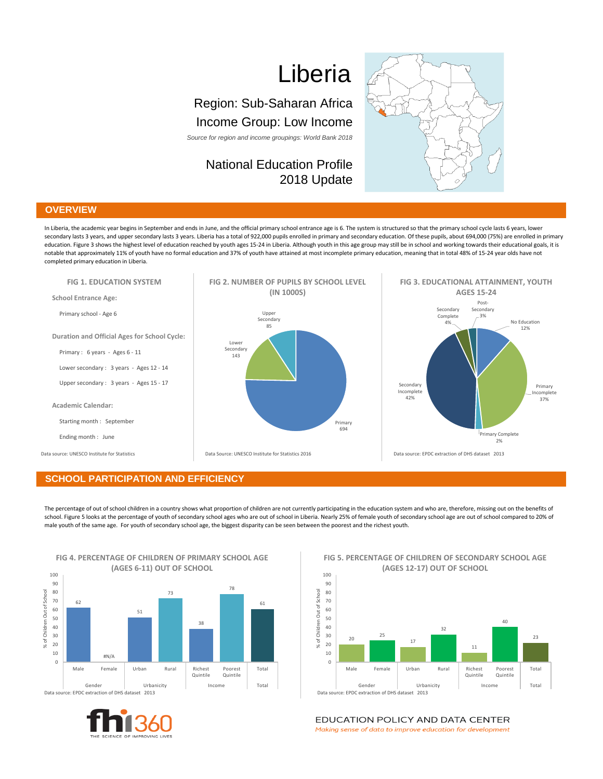# Liberia

# Region: Sub-Saharan Africa Income Group: Low Income

*Source for region and income groupings: World Bank 2018*

# National Education Profile 2018 Update



## **OVERVIEW**

In Liberia, the academic year begins in September and ends in June, and the official primary school entrance age is 6. The system is structured so that the primary school cycle lasts 6 years, lower secondary lasts 3 years, and upper secondary lasts 3 years. Liberia has a total of 922,000 pupils enrolled in primary and secondary education. Of these pupils, about 694,000 (75%) are enrolled in primary education. Figure 3 shows the highest level of education reached by youth ages 15-24 in Liberia. Although youth in this age group may still be in school and working towards their educational goals, it is notable that approximately 11% of youth have no formal education and 37% of youth have attained at most incomplete primary education, meaning that in total 48% of 15-24 year olds have not completed primary education in Liberia.



#### **SCHOOL PARTICIPATION AND EFFICIENCY**

The percentage of out of school children in a country shows what proportion of children are not currently participating in the education system and who are, therefore, missing out on the benefits of school. Figure 5 looks at the percentage of youth of secondary school ages who are out of school in Liberia. Nearly 25% of female youth of secondary school age are out of school compared to 20% of male youth of the same age. For youth of secondary school age, the biggest disparity can be seen between the poorest and the richest youth.



#### **FIG 5. PERCENTAGE OF CHILDREN OF SECONDARY SCHOOL AGE (AGES 12-17) OUT OF SCHOOL**



EDUCATION POLICY AND DATA CENTER

Making sense of data to improve education for development

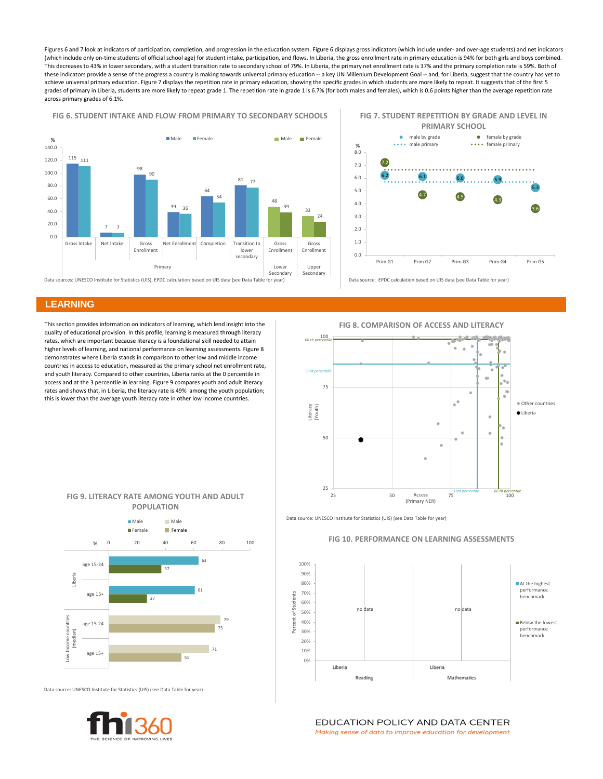Figures 6 and 7 look at indicators of participation, completion, and progression in the education system. Figure 6 displays gross indicators (which include under- and over-age students) and net indicators (which include only on-time students of official school age) for student intake, participation, and flows. In Liberia, the gross enrollment rate in primary education is 94% for both girls and boys combined. This decreases to 43% in lower secondary, with a student transition rate to secondary school of 79%. In Liberia, the primary net enrollment rate is 37% and the primary completion rate is 59%. Both of these indicators provide a sense of the progress a country is making towards universal primary education -- a key UN Millenium Development Goal -- and, for Liberia, suggest that the country has yet to achieve universal primary education. Figure 7 displays the repetition rate in primary education, showing the specific grades in which students are more likely to repeat. It suggests that of the first 5 grades of primary in Liberia, students are more likely to repeat grade 1. The repetition rate in grade 1 is 6.7% (for both males and females), which is 0.6 points higher than the average repetition rate across primary grades of 6.1%.

#### **FIG 6. STUDENT INTAKE AND FLOW FROM PRIMARY TO SECONDARY SCHOOLS**



 $6.1$   $6.0$   $5.9$ 5.3 7.2  $4.5$   $4.3$ 3.6 0.0 1.0 2.0 3.0 4.0 5.0 6.0 7.0 8.0 Prim G1 Prim G2 Prim G3 Prim G4 Prim G5 **%** • male by grade **female** by grade \*\*\*\* male primary \*\*\*\* female primary Data source: EPDC calculation based on UIS data (see Data Table for year) **FIG 7. STUDENT REPETITION BY GRADE AND LEVEL IN PRIMARY SCHOOL**

## **LEARNING**

This section provides information on indicators of learning, which lend insight into the quality of educational provision. In this profile, learning is measured through literacy rates, which are important because literacy is a foundational skill needed to attain higher levels of learning, and national performance on learning assessments. Figure 8 demonstrates where Liberia stands in comparison to other low and middle income countries in access to education, measured as the primary school net enrollment rate, and youth literacy. Compared to other countries, Liberia ranks at the 0 percentile in access and at the 3 percentile in learning. Figure 9 compares youth and adult literacy rates and shows that, in Liberia, the literacy rate is 49% among the youth population; this is lower than the average youth literacy rate in other low income countries.



**FIG 9. LITERACY RATE AMONG YOUTH AND ADULT POPULATION**



Data source: UNESCO Institute for Statistics (UIS) (see Data Table for year)



Data source: UNESCO Institute for Statistics (UIS) (see Data Table for year)

#### **FIG 10. PERFORMANCE ON LEARNING ASSESSMENTS**



EDUCATION POLICY AND DATA CENTER

Making sense of data to improve education for development

**FIG 8. COMPARISON OF ACCESS AND LITERACY**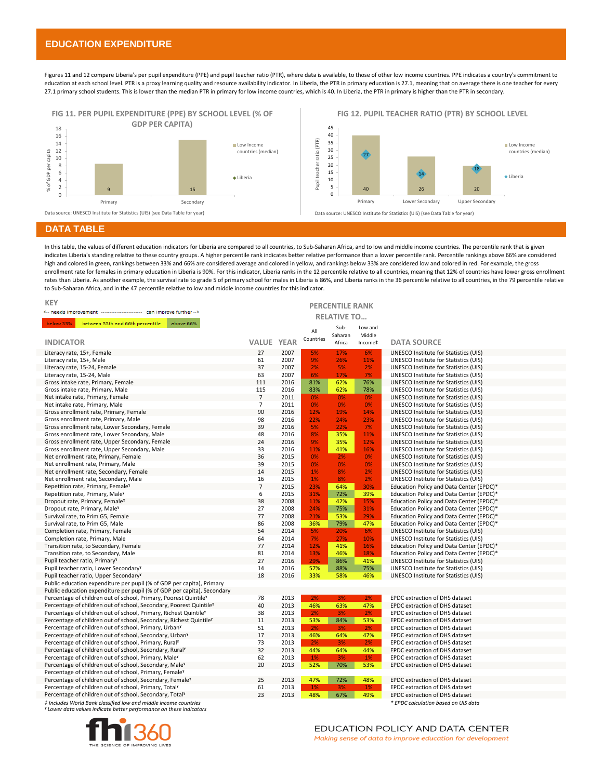## **EDUCATION EXPENDITURE**

Figures 11 and 12 compare Liberia's per pupil expenditure (PPE) and pupil teacher ratio (PTR), where data is available, to those of other low income countries. PPE indicates a country's commitment to education at each school level. PTR is a proxy learning quality and resource availability indicator. In Liberia, the PTR in primary education is 27.1, meaning that on average there is one teacher for every 27.1 primary school students. This is lower than the median PTR in primary for low income countries, which is 40. In Liberia, the PTR in primary is higher than the PTR in secondary.



#### **DATA TABLE**

In this table, the values of different education indicators for Liberia are compared to all countries, to Sub-Saharan Africa, and to low and middle income countries. The percentile rank that is given indicates Liberia's standing relative to these country groups. A higher percentile rank indicates better relative performance than a lower percentile rank. Percentile rankings above 66% are considered high and colored in green, rankings between 33% and 66% are considered average and colored in yellow, and rankings below 33% are considered low and colored in red. For example, the gross enrollment rate for females in primary education in Liberia is 90%. For this indicator, Liberia ranks in the 12 percentile relative to all countries, meaning that 12% of countries have lower gross enrollment rates than Liberia. As another example, the survival rate to grade 5 of primary school for males in Liberia is 86%, and Liberia ranks in the 36 percentile relative to all countries, in the 79 percentile relative to Sub-Saharan Africa, and in the 47 percentile relative to low and middle income countries for this indicator.

| <b>KEY</b>                                                                     |                    |              |            |            |            |                                                                                |  |  |
|--------------------------------------------------------------------------------|--------------------|--------------|------------|------------|------------|--------------------------------------------------------------------------------|--|--|
| <-- needs improvement ------------------------ can improve further -->         |                    |              |            |            |            | <b>PERCENTILE RANK</b>                                                         |  |  |
|                                                                                | <b>RELATIVE TO</b> |              |            |            |            |                                                                                |  |  |
| below 33%<br>between 33th and 66th percentile<br>above 66%                     |                    |              |            | Sub-       | Low and    |                                                                                |  |  |
|                                                                                |                    |              | All        | Saharan    | Middle     |                                                                                |  |  |
| <b>INDICATOR</b>                                                               | <b>VALUE YEAR</b>  |              | Countries  | Africa     | Income‡    | <b>DATA SOURCE</b>                                                             |  |  |
| Literacy rate, 15+, Female                                                     | 27                 | 2007         | 5%         | 17%        | 6%         | UNESCO Institute for Statistics (UIS)                                          |  |  |
| Literacy rate, 15+, Male                                                       | 61                 | 2007         | 9%         | 26%        | 11%        | UNESCO Institute for Statistics (UIS)                                          |  |  |
| Literacy rate, 15-24, Female                                                   | 37                 | 2007         | 2%         | 5%         | 2%         | UNESCO Institute for Statistics (UIS)                                          |  |  |
| Literacy rate, 15-24, Male                                                     | 63                 | 2007         | 6%         | 17%        | 7%         | UNESCO Institute for Statistics (UIS)                                          |  |  |
| Gross intake rate, Primary, Female                                             | 111                | 2016         | 81%        | 62%        | 76%        | UNESCO Institute for Statistics (UIS)                                          |  |  |
| Gross intake rate, Primary, Male                                               | 115                | 2016         | 83%        | 62%        | 78%        | UNESCO Institute for Statistics (UIS)                                          |  |  |
| Net intake rate, Primary, Female                                               | $\overline{7}$     | 2011         | 0%         | 0%         | 0%         | UNESCO Institute for Statistics (UIS)                                          |  |  |
| Net intake rate, Primary, Male                                                 | $\overline{7}$     | 2011         | 0%         | 0%         | 0%         | UNESCO Institute for Statistics (UIS)                                          |  |  |
| Gross enrollment rate, Primary, Female                                         | 90                 | 2016         | 12%        | 19%        | 14%        | UNESCO Institute for Statistics (UIS)                                          |  |  |
| Gross enrollment rate, Primary, Male                                           | 98                 | 2016         | 22%        | 24%        | 23%        | UNESCO Institute for Statistics (UIS)                                          |  |  |
| Gross enrollment rate, Lower Secondary, Female                                 | 39                 | 2016         | 5%         | 22%        | 7%         | <b>UNESCO Institute for Statistics (UIS)</b>                                   |  |  |
| Gross enrollment rate, Lower Secondary, Male                                   | 48                 | 2016         | 8%         | 35%        | 11%        | UNESCO Institute for Statistics (UIS)                                          |  |  |
| Gross enrollment rate, Upper Secondary, Female                                 | 24                 | 2016         | 9%         | 35%        | 12%        | UNESCO Institute for Statistics (UIS)                                          |  |  |
| Gross enrollment rate, Upper Secondary, Male                                   | 33                 | 2016         | 11%        | 41%        | 16%        | UNESCO Institute for Statistics (UIS)                                          |  |  |
| Net enrollment rate, Primary, Female                                           | 36                 | 2015         | 0%         | 2%         | 0%         | UNESCO Institute for Statistics (UIS)                                          |  |  |
| Net enrollment rate, Primary, Male                                             | 39                 | 2015         | 0%         | 0%         | 0%         | UNESCO Institute for Statistics (UIS)                                          |  |  |
| Net enrollment rate, Secondary, Female                                         | 14                 | 2015         | 1%         | 8%         | 2%         | <b>UNESCO Institute for Statistics (UIS)</b>                                   |  |  |
| Net enrollment rate, Secondary, Male                                           | 16                 | 2015         | 1%         | 8%         | 2%         | UNESCO Institute for Statistics (UIS)                                          |  |  |
| Repetition rate, Primary, Female <sup>v</sup>                                  | $\overline{7}$     | 2015         | 23%        | 64%        | 30%        | Education Policy and Data Center (EPDC)*                                       |  |  |
| Repetition rate, Primary, Male <sup>y</sup>                                    | 6                  | 2015         | 31%        | 72%        | 39%        | Education Policy and Data Center (EPDC)*                                       |  |  |
| Dropout rate, Primary, Female <sup>y</sup>                                     | 38                 | 2008         | 11%        | 42%        | 15%        | Education Policy and Data Center (EPDC)*                                       |  |  |
| Dropout rate, Primary, Male <sup>y</sup>                                       | 27<br>77           | 2008         | 24%<br>21% | 75%        | 31%        | Education Policy and Data Center (EPDC)*                                       |  |  |
| Survival rate, to Prim G5, Female<br>Survival rate, to Prim G5, Male           | 86                 | 2008<br>2008 | 36%        | 53%        | 29%<br>47% | Education Policy and Data Center (EPDC)*                                       |  |  |
|                                                                                | 54                 | 2014         | 5%         | 79%        | 6%         | Education Policy and Data Center (EPDC)*                                       |  |  |
| Completion rate, Primary, Female                                               | 64                 | 2014         | 7%         | 20%<br>27% | 10%        | UNESCO Institute for Statistics (UIS)<br>UNESCO Institute for Statistics (UIS) |  |  |
| Completion rate, Primary, Male<br>Transition rate, to Secondary, Female        | 77                 | 2014         | 12%        | 41%        | 16%        | Education Policy and Data Center (EPDC)*                                       |  |  |
| Transition rate, to Secondary, Male                                            | 81                 | 2014         | 13%        | 46%        | 18%        | Education Policy and Data Center (EPDC)*                                       |  |  |
| Pupil teacher ratio, Primary <sup>y</sup>                                      | 27                 | 2016         | 29%        | 86%        | 41%        | <b>UNESCO Institute for Statistics (UIS)</b>                                   |  |  |
| Pupil teacher ratio, Lower Secondary <sup>Y</sup>                              | 14                 | 2016         | 57%        | 88%        | 75%        | UNESCO Institute for Statistics (UIS)                                          |  |  |
| Pupil teacher ratio, Upper Secondary <sup>x</sup>                              | 18                 | 2016         | 33%        | 58%        | 46%        | UNESCO Institute for Statistics (UIS)                                          |  |  |
| Public education expenditure per pupil (% of GDP per capita), Primary          |                    |              |            |            |            |                                                                                |  |  |
| Public education expenditure per pupil (% of GDP per capita), Secondary        |                    |              |            |            |            |                                                                                |  |  |
| Percentage of children out of school, Primary, Poorest QuintileY               | 78                 | 2013         | 2%         | 3%         | 2%         | EPDC extraction of DHS dataset                                                 |  |  |
| Percentage of children out of school, Secondary, Poorest Quintile <sup>v</sup> | 40                 | 2013         | 46%        | 63%        | 47%        | EPDC extraction of DHS dataset                                                 |  |  |
| Percentage of children out of school, Primary, Richest Quintile <sup>v</sup>   | 38                 | 2013         | 2%         | 3%         | 2%         | EPDC extraction of DHS dataset                                                 |  |  |
| Percentage of children out of school, Secondary, Richest Quintile <sup>y</sup> | 11                 | 2013         | 53%        | 84%        | 53%        | EPDC extraction of DHS dataset                                                 |  |  |
| Percentage of children out of school, Primary, Urban <sup>y</sup>              | 51                 | 2013         | 2%         | 3%         | 2%         | EPDC extraction of DHS dataset                                                 |  |  |
| Percentage of children out of school, Secondary, Urban <sup>y</sup>            | 17                 | 2013         | 46%        | 64%        | 47%        | EPDC extraction of DHS dataset                                                 |  |  |
| Percentage of children out of school, Primary, Rural <sup>y</sup>              | 73                 | 2013         | 2%         | 3%         | 2%         | EPDC extraction of DHS dataset                                                 |  |  |
| Percentage of children out of school, Secondary, Rural <sup>y</sup>            | 32                 | 2013         | 44%        | 64%        | 44%        | EPDC extraction of DHS dataset                                                 |  |  |
| Percentage of children out of school, Primary, MaleY                           | 62                 | 2013         | $1\%$      | 3%         | $1\%$      | EPDC extraction of DHS dataset                                                 |  |  |
| Percentage of children out of school, Secondary, MaleY                         | 20                 | 2013         | 52%        | 70%        | 53%        | EPDC extraction of DHS dataset                                                 |  |  |
| Percentage of children out of school, Primary, FemaleY                         |                    |              |            |            |            |                                                                                |  |  |
| Percentage of children out of school, Secondary, Female <sup>Y</sup>           | 25                 | 2013         | 47%        | 72%        | 48%        | EPDC extraction of DHS dataset                                                 |  |  |
| Percentage of children out of school, Primary, Total <sup>y</sup>              | 61                 | 2013         | 1%         | 3%         | 1%         | EPDC extraction of DHS dataset                                                 |  |  |
| Percentage of children out of school, Secondary, Total <sup>Y</sup>            | 23                 | 2013         | 48%        | 67%        | 49%        | EPDC extraction of DHS dataset                                                 |  |  |
| # Includes World Bank classified low and middle income countries               |                    |              |            |            |            | * EPDC calculation based on UIS data                                           |  |  |

*ˠ Lower data values indicate better performance on these indicators ‡ Includes World Bank classified low and middle income countries*